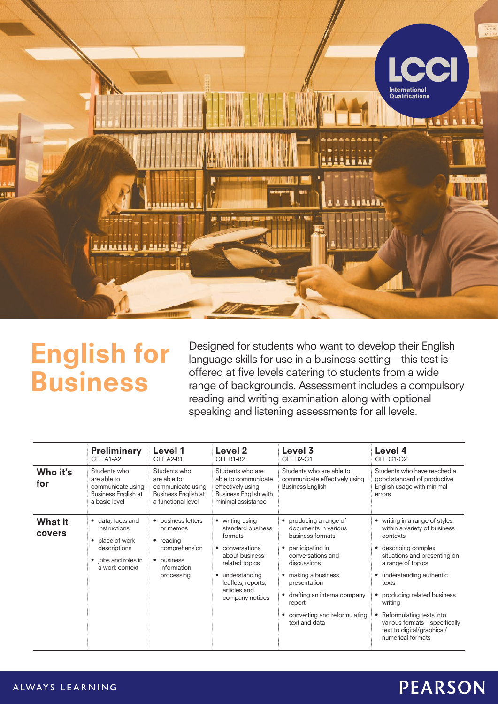

# English for Business

Designed for students who want to develop their English language skills for use in a business setting – this test is offered at five levels catering to students from a wide range of backgrounds. Assessment includes a compulsory reading and writing examination along with optional speaking and listening assessments for all levels.

|                          | <b>Preliminary</b><br>CFF A1-A2                                                                                          | Level 1<br>CEF A2-B1                                                                                    | Level 2<br>CEF B1-B2                                                                                                                                                               | Level 3<br>CEF B2-C1                                                                                                                                                                                                                                                               | Level 4<br>CEF C1-C2                                                                                                                                                                                                                                                                                                                                     |
|--------------------------|--------------------------------------------------------------------------------------------------------------------------|---------------------------------------------------------------------------------------------------------|------------------------------------------------------------------------------------------------------------------------------------------------------------------------------------|------------------------------------------------------------------------------------------------------------------------------------------------------------------------------------------------------------------------------------------------------------------------------------|----------------------------------------------------------------------------------------------------------------------------------------------------------------------------------------------------------------------------------------------------------------------------------------------------------------------------------------------------------|
| Who it's<br>for          | Students who<br>are able to<br>communicate using<br>Business English at<br>a basic level                                 | Students who<br>are able to<br>communicate using<br>Business English at<br>a functional level           | Students who are<br>able to communicate<br>effectively using<br><b>Business English with</b><br>minimal assistance                                                                 | Students who are able to<br>communicate effectively using<br><b>Business English</b>                                                                                                                                                                                               | Students who have reached a<br>good standard of productive<br>English usage with minimal<br>errors                                                                                                                                                                                                                                                       |
| <b>What it</b><br>covers | • data, facts and<br>instructions<br>place of work<br>$\bullet$<br>descriptions<br>• jobs and roles in<br>a work context | • business letters<br>or memos<br>• reading<br>comprehension<br>• business<br>information<br>processing | • writing using<br>standard business<br>formats<br>• conversations<br>about business<br>related topics<br>• understanding<br>leaflets, reports,<br>articles and<br>company notices | • producing a range of<br>documents in various<br>business formats<br>participating in<br>٠<br>conversations and<br>discussions<br>• making a business<br>presentation<br>drafting an interna company<br>$\bullet$<br>report<br>converting and reformulating<br>٠<br>text and data | • writing in a range of styles<br>within a variety of business<br>contexts<br>describing complex<br>٠<br>situations and presenting on<br>a range of topics<br>understanding authentic<br>texts<br>producing related business<br>writing<br>Reformulating texts into<br>various formats - specifically<br>text to digital/graphical/<br>numerical formats |

### **PEARSON**